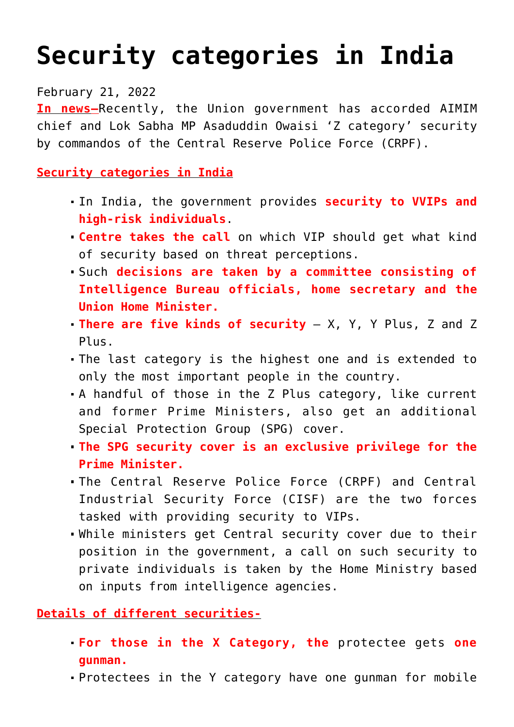## **[Security categories in India](https://journalsofindia.com/security-categories-in-india/)**

February 21, 2022

**In news–**Recently, the Union government has accorded AIMIM chief and Lok Sabha MP Asaduddin Owaisi 'Z category' security by commandos of the Central Reserve Police Force (CRPF).

**Security categories in India**

- In India, the government provides **security to VVIPs and high-risk individuals**.
- **Centre takes the call** on which VIP should get what kind of security based on threat perceptions.
- Such **decisions are taken by a committee consisting of Intelligence Bureau officials, home secretary and the Union Home Minister.**
- **There are five kinds of security**  X, Y, Y Plus, Z and Z Plus.
- The last category is the highest one and is extended to only the most important people in the country.
- A handful of those in the Z Plus category, like current and former Prime Ministers, also get an additional Special Protection Group (SPG) cover.
- **The SPG security cover is an exclusive privilege for the Prime Minister.**
- The Central Reserve Police Force (CRPF) and Central Industrial Security Force (CISF) are the two forces tasked with providing security to VIPs.
- While ministers get Central security cover due to their position in the government, a call on such security to private individuals is taken by the Home Ministry based on inputs from intelligence agencies.

## **Details of different securities-**

- **For those in the X Category, the** protectee gets **one gunman.**
- Protectees in the Y category have one gunman for mobile